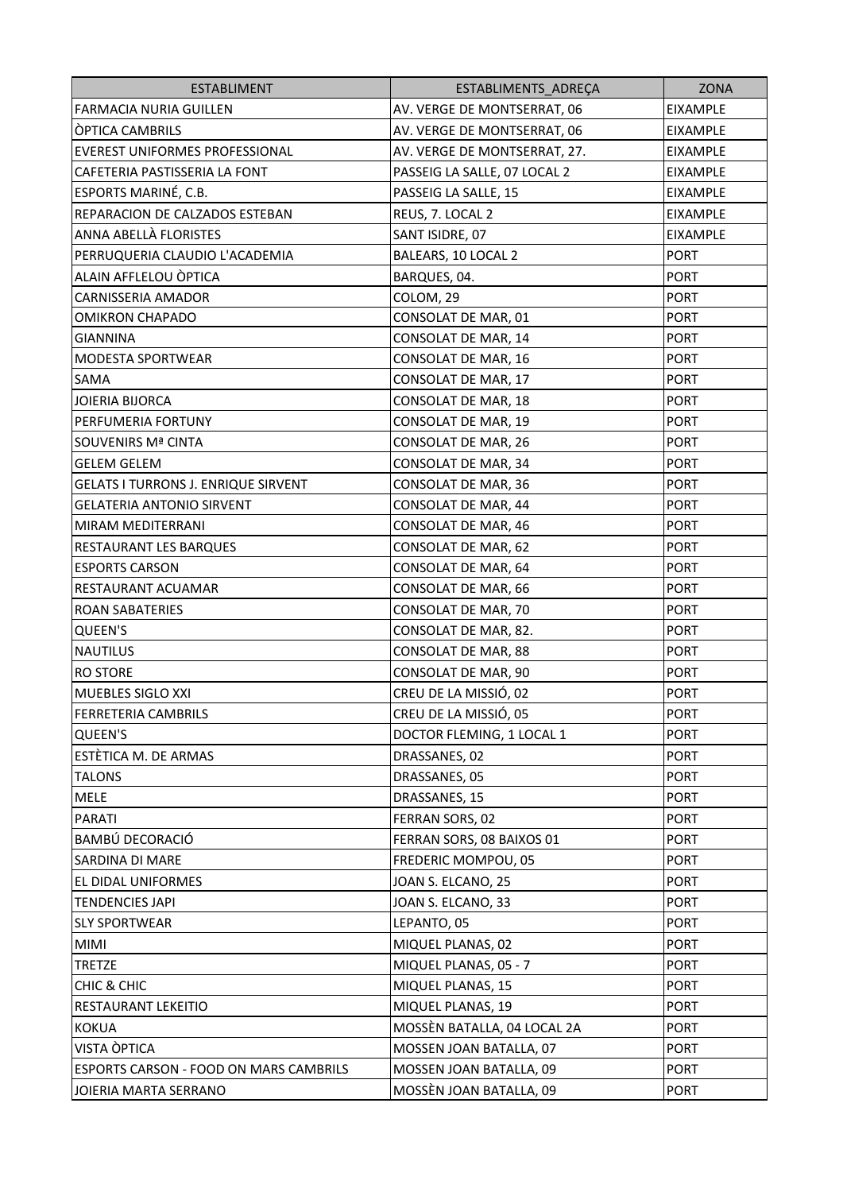| <b>ESTABLIMENT</b>                            | ESTABLIMENTS_ADREÇA          | ZONA            |
|-----------------------------------------------|------------------------------|-----------------|
| FARMACIA NURIA GUILLEN                        | AV. VERGE DE MONTSERRAT, 06  | EIXAMPLE        |
| <b>OPTICA CAMBRILS</b>                        | AV. VERGE DE MONTSERRAT, 06  | <b>EIXAMPLE</b> |
| EVEREST UNIFORMES PROFESSIONAL                | AV. VERGE DE MONTSERRAT, 27. | EIXAMPLE        |
| CAFETERIA PASTISSERIA LA FONT                 | PASSEIG LA SALLE, 07 LOCAL 2 | EIXAMPLE        |
| ESPORTS MARINÉ, C.B.                          | PASSEIG LA SALLE, 15         | EIXAMPLE        |
| REPARACION DE CALZADOS ESTEBAN                | REUS, 7. LOCAL 2             | EIXAMPLE        |
| ANNA ABELLÀ FLORISTES                         | SANT ISIDRE, 07              | EIXAMPLE        |
| PERRUQUERIA CLAUDIO L'ACADEMIA                | BALEARS, 10 LOCAL 2          | <b>PORT</b>     |
| ALAIN AFFLELOU OPTICA                         | BARQUES, 04.                 | <b>PORT</b>     |
| <b>CARNISSERIA AMADOR</b>                     | COLOM, 29                    | <b>PORT</b>     |
| <b>OMIKRON CHAPADO</b>                        | CONSOLAT DE MAR, 01          | <b>PORT</b>     |
| <b>GIANNINA</b>                               | CONSOLAT DE MAR, 14          | <b>PORT</b>     |
| <b>MODESTA SPORTWEAR</b>                      | CONSOLAT DE MAR, 16          | <b>PORT</b>     |
| SAMA                                          | CONSOLAT DE MAR, 17          | <b>PORT</b>     |
| <b>JOIERIA BIJORCA</b>                        | CONSOLAT DE MAR, 18          | <b>PORT</b>     |
| PERFUMERIA FORTUNY                            | CONSOLAT DE MAR, 19          | <b>PORT</b>     |
| <b>SOUVENIRS Mª CINTA</b>                     | CONSOLAT DE MAR, 26          | <b>PORT</b>     |
| <b>GELEM GELEM</b>                            | CONSOLAT DE MAR, 34          | <b>PORT</b>     |
| <b>GELATS I TURRONS J. ENRIQUE SIRVENT</b>    | CONSOLAT DE MAR, 36          | <b>PORT</b>     |
| <b>GELATERIA ANTONIO SIRVENT</b>              | CONSOLAT DE MAR, 44          | <b>PORT</b>     |
| MIRAM MEDITERRANI                             | CONSOLAT DE MAR, 46          | <b>PORT</b>     |
| RESTAURANT LES BARQUES                        | CONSOLAT DE MAR, 62          | <b>PORT</b>     |
| <b>ESPORTS CARSON</b>                         | CONSOLAT DE MAR, 64          | <b>PORT</b>     |
| RESTAURANT ACUAMAR                            | CONSOLAT DE MAR, 66          | <b>PORT</b>     |
| <b>ROAN SABATERIES</b>                        | CONSOLAT DE MAR, 70          | <b>PORT</b>     |
| <b>QUEEN'S</b>                                | CONSOLAT DE MAR, 82.         | <b>PORT</b>     |
| <b>NAUTILUS</b>                               | CONSOLAT DE MAR, 88          | <b>PORT</b>     |
| <b>RO STORE</b>                               | CONSOLAT DE MAR, 90          | <b>PORT</b>     |
| <b>MUEBLES SIGLO XXI</b>                      | CREU DE LA MISSIÓ, 02        | <b>PORT</b>     |
| FERRETERIA CAMBRILS                           | CREU DE LA MISSIÓ, 05        | <b>PORT</b>     |
| QUEEN'S                                       | DOCTOR FLEMING, 1 LOCAL 1    | <b>PORT</b>     |
| ESTÈTICA M. DE ARMAS                          | DRASSANES, 02                | <b>PORT</b>     |
| <b>TALONS</b>                                 | DRASSANES, 05                | <b>PORT</b>     |
| <b>MELE</b>                                   | DRASSANES, 15                | <b>PORT</b>     |
| <b>PARATI</b>                                 | FERRAN SORS, 02              | <b>PORT</b>     |
| BAMBÚ DECORACIÓ                               | FERRAN SORS, 08 BAIXOS 01    | <b>PORT</b>     |
| SARDINA DI MARE                               | <b>FREDERIC MOMPOU, 05</b>   | <b>PORT</b>     |
| EL DIDAL UNIFORMES                            | JOAN S. ELCANO, 25           | <b>PORT</b>     |
| <b>TENDENCIES JAPI</b>                        | JOAN S. ELCANO, 33           | <b>PORT</b>     |
| <b>SLY SPORTWEAR</b>                          | LEPANTO, 05                  | <b>PORT</b>     |
| MIMI                                          | MIQUEL PLANAS, 02            | <b>PORT</b>     |
| TRETZE                                        | MIQUEL PLANAS, 05 - 7        | <b>PORT</b>     |
| <b>CHIC &amp; CHIC</b>                        | MIQUEL PLANAS, 15            | <b>PORT</b>     |
| RESTAURANT LEKEITIO                           | MIQUEL PLANAS, 19            | <b>PORT</b>     |
| <b>KOKUA</b>                                  | MOSSÈN BATALLA, 04 LOCAL 2A  | <b>PORT</b>     |
| VISTA OPTICA                                  | MOSSEN JOAN BATALLA, 07      | <b>PORT</b>     |
| <b>ESPORTS CARSON - FOOD ON MARS CAMBRILS</b> | MOSSEN JOAN BATALLA, 09      | <b>PORT</b>     |
| JOIERIA MARTA SERRANO                         | MOSSÈN JOAN BATALLA, 09      | <b>PORT</b>     |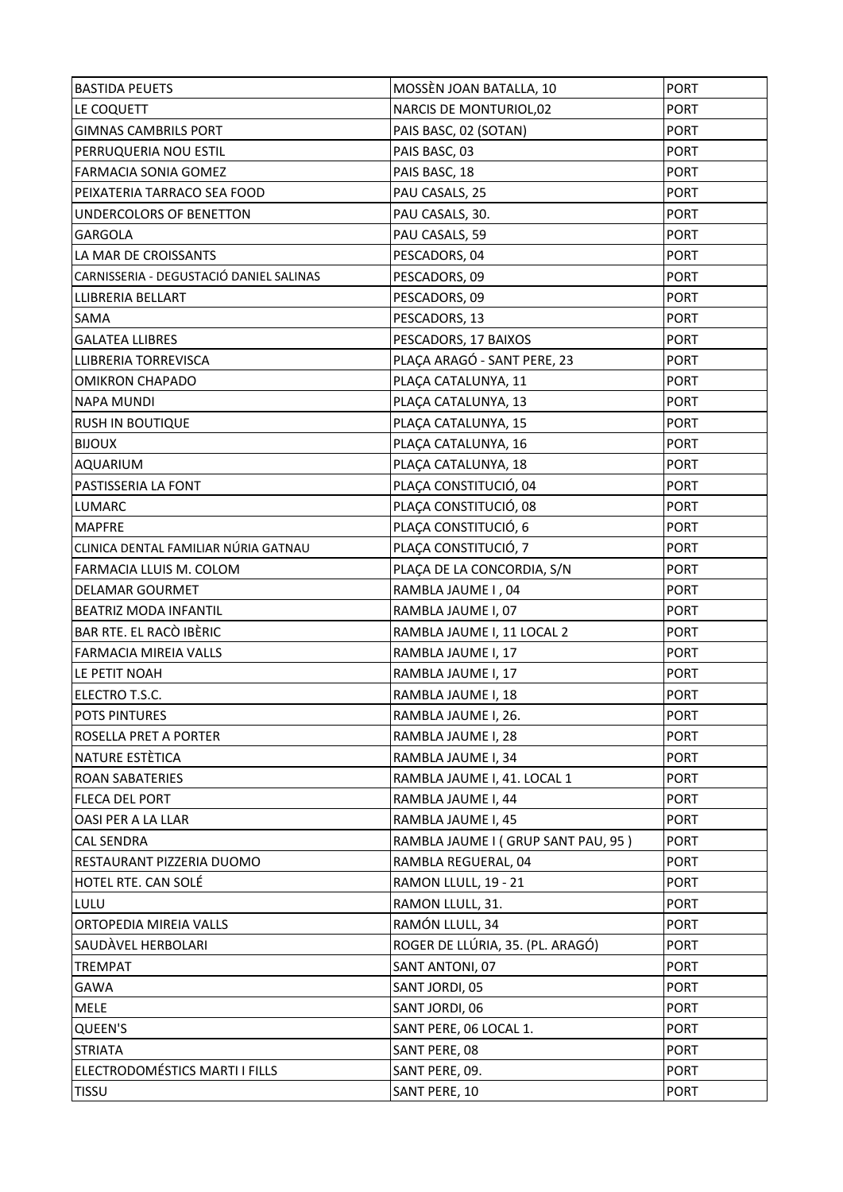| <b>BASTIDA PEUETS</b>                   | MOSSÈN JOAN BATALLA, 10            | <b>PORT</b> |
|-----------------------------------------|------------------------------------|-------------|
| LE COQUETT                              | NARCIS DE MONTURIOL,02             | <b>PORT</b> |
| <b>GIMNAS CAMBRILS PORT</b>             | PAIS BASC, 02 (SOTAN)              | <b>PORT</b> |
| PERRUQUERIA NOU ESTIL                   | PAIS BASC, 03                      | <b>PORT</b> |
| <b>FARMACIA SONIA GOMEZ</b>             | PAIS BASC, 18                      | <b>PORT</b> |
| PEIXATERIA TARRACO SEA FOOD             | PAU CASALS, 25                     | <b>PORT</b> |
| UNDERCOLORS OF BENETTON                 | PAU CASALS, 30.                    | <b>PORT</b> |
| <b>GARGOLA</b>                          | PAU CASALS, 59                     | <b>PORT</b> |
| LA MAR DE CROISSANTS                    | PESCADORS, 04                      | <b>PORT</b> |
| CARNISSERIA - DEGUSTACIÓ DANIEL SALINAS | PESCADORS, 09                      | <b>PORT</b> |
| LLIBRERIA BELLART                       | PESCADORS, 09                      | <b>PORT</b> |
| <b>SAMA</b>                             | PESCADORS, 13                      | <b>PORT</b> |
| <b>GALATEA LLIBRES</b>                  | PESCADORS, 17 BAIXOS               | <b>PORT</b> |
| LLIBRERIA TORREVISCA                    | PLAÇA ARAGÓ - SANT PERE, 23        | <b>PORT</b> |
| <b>OMIKRON CHAPADO</b>                  | PLAÇA CATALUNYA, 11                | <b>PORT</b> |
| <b>NAPA MUNDI</b>                       | PLAÇA CATALUNYA, 13                | <b>PORT</b> |
| <b>RUSH IN BOUTIQUE</b>                 | PLAÇA CATALUNYA, 15                | <b>PORT</b> |
| <b>BIJOUX</b>                           | PLAÇA CATALUNYA, 16                | <b>PORT</b> |
| <b>AQUARIUM</b>                         | PLAÇA CATALUNYA, 18                | <b>PORT</b> |
| PASTISSERIA LA FONT                     | PLAÇA CONSTITUCIÓ, 04              | <b>PORT</b> |
| <b>LUMARC</b>                           | PLAÇA CONSTITUCIÓ, 08              | <b>PORT</b> |
| <b>MAPFRE</b>                           | PLAÇA CONSTITUCIÓ, 6               | <b>PORT</b> |
| CLINICA DENTAL FAMILIAR NÚRIA GATNAU    | PLAÇA CONSTITUCIÓ, 7               | <b>PORT</b> |
| FARMACIA LLUIS M. COLOM                 | PLAÇA DE LA CONCORDIA, S/N         | <b>PORT</b> |
| <b>DELAMAR GOURMET</b>                  | RAMBLA JAUME I, 04                 | <b>PORT</b> |
| <b>BEATRIZ MODA INFANTIL</b>            | RAMBLA JAUME I, 07                 | <b>PORT</b> |
| BAR RTE. EL RACÒ IBÈRIC                 | RAMBLA JAUME I, 11 LOCAL 2         | <b>PORT</b> |
| <b>FARMACIA MIREIA VALLS</b>            | RAMBLA JAUME I, 17                 | <b>PORT</b> |
| LE PETIT NOAH                           | RAMBLA JAUME I, 17                 | <b>PORT</b> |
| ELECTRO T.S.C.                          | RAMBLA JAUME I, 18                 | <b>PORT</b> |
| <b>POTS PINTURES</b>                    | RAMBLA JAUME I, 26.                | <b>PORT</b> |
| ROSELLA PRET A PORTER                   | RAMBLA JAUME I, 28                 | <b>PORT</b> |
| NATURE ESTÈTICA                         | RAMBLA JAUME I, 34                 | <b>PORT</b> |
| <b>ROAN SABATERIES</b>                  | RAMBLA JAUME I, 41. LOCAL 1        | <b>PORT</b> |
| FLECA DEL PORT                          | RAMBLA JAUME I, 44                 | <b>PORT</b> |
| <b>OASI PER A LA LLAR</b>               | RAMBLA JAUME I, 45                 | <b>PORT</b> |
| <b>CAL SENDRA</b>                       | RAMBLA JAUME I (GRUP SANT PAU, 95) | <b>PORT</b> |
| RESTAURANT PIZZERIA DUOMO               | RAMBLA REGUERAL, 04                | <b>PORT</b> |
| <b>HOTEL RTE. CAN SOLÉ</b>              | RAMON LLULL, 19 - 21               | <b>PORT</b> |
| LULU                                    | RAMON LLULL, 31.                   | <b>PORT</b> |
| ORTOPEDIA MIREIA VALLS                  | RAMÓN LLULL, 34                    | <b>PORT</b> |
| SAUDAVEL HERBOLARI                      | ROGER DE LLÚRIA, 35. (PL. ARAGÓ)   | <b>PORT</b> |
| <b>TREMPAT</b>                          | SANT ANTONI, 07                    | <b>PORT</b> |
| <b>GAWA</b>                             | SANT JORDI, 05                     | <b>PORT</b> |
| <b>MELE</b>                             | SANT JORDI, 06                     | <b>PORT</b> |
| <b>QUEEN'S</b>                          | SANT PERE, 06 LOCAL 1.             | <b>PORT</b> |
| <b>STRIATA</b>                          | SANT PERE, 08                      | <b>PORT</b> |
| ELECTRODOMÉSTICS MARTI I FILLS          | SANT PERE, 09.                     | <b>PORT</b> |
| <b>TISSU</b>                            | SANT PERE, 10                      | <b>PORT</b> |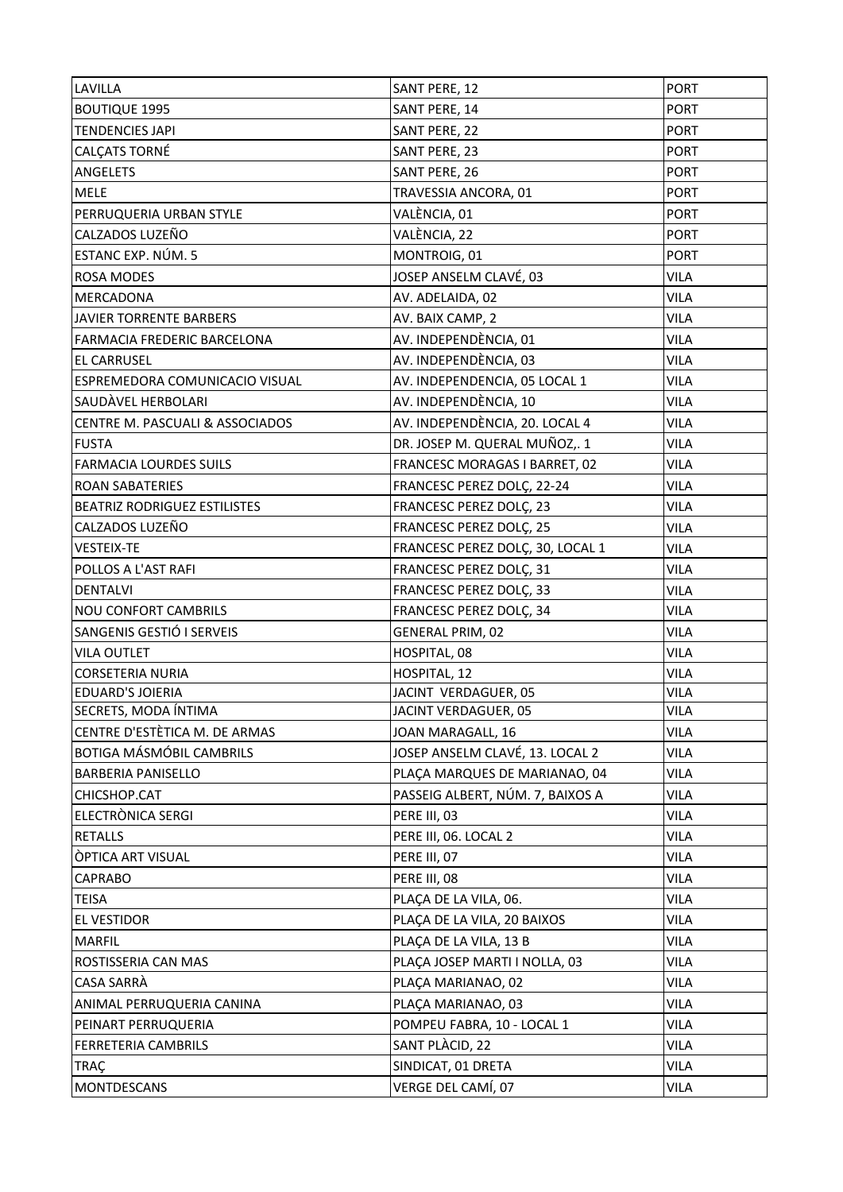| LAVILLA                             | SANT PERE, 12                    | <b>PORT</b> |
|-------------------------------------|----------------------------------|-------------|
| <b>BOUTIQUE 1995</b>                | SANT PERE, 14                    | <b>PORT</b> |
| <b>TENDENCIES JAPI</b>              | SANT PERE, 22                    | <b>PORT</b> |
| <b>CALCATS TORNÉ</b>                | SANT PERE, 23                    | <b>PORT</b> |
| <b>ANGELETS</b>                     | SANT PERE, 26                    | <b>PORT</b> |
| <b>MELE</b>                         | TRAVESSIA ANCORA, 01             | <b>PORT</b> |
| PERRUQUERIA URBAN STYLE             | VALÈNCIA, 01                     | <b>PORT</b> |
| CALZADOS LUZEÑO                     | VALÈNCIA, 22                     | <b>PORT</b> |
| ESTANC EXP. NÚM. 5                  | MONTROIG, 01                     | <b>PORT</b> |
| <b>ROSA MODES</b>                   | JOSEP ANSELM CLAVÉ, 03           | <b>VILA</b> |
| <b>MERCADONA</b>                    | AV. ADELAIDA, 02                 | <b>VILA</b> |
| JAVIER TORRENTE BARBERS             | AV. BAIX CAMP, 2                 | <b>VILA</b> |
| <b>FARMACIA FREDERIC BARCELONA</b>  | AV. INDEPENDÈNCIA, 01            | <b>VILA</b> |
| <b>EL CARRUSEL</b>                  | AV. INDEPENDÈNCIA, 03            | <b>VILA</b> |
| ESPREMEDORA COMUNICACIO VISUAL      | AV. INDEPENDENCIA, 05 LOCAL 1    | <b>VILA</b> |
| SAUDAVEL HERBOLARI                  | AV. INDEPENDÈNCIA, 10            | <b>VILA</b> |
| CENTRE M. PASCUALI & ASSOCIADOS     | AV. INDEPENDÈNCIA, 20. LOCAL 4   | <b>VILA</b> |
| <b>FUSTA</b>                        | DR. JOSEP M. QUERAL MUÑOZ,. 1    | <b>VILA</b> |
| <b>FARMACIA LOURDES SUILS</b>       | FRANCESC MORAGAS I BARRET, 02    | <b>VILA</b> |
| <b>ROAN SABATERIES</b>              | FRANCESC PEREZ DOLC, 22-24       | <b>VILA</b> |
| <b>BEATRIZ RODRIGUEZ ESTILISTES</b> | FRANCESC PEREZ DOLÇ, 23          | <b>VILA</b> |
| CALZADOS LUZEÑO                     | FRANCESC PEREZ DOLÇ, 25          | <b>VILA</b> |
| <b>VESTEIX-TE</b>                   | FRANCESC PEREZ DOLÇ, 30, LOCAL 1 | <b>VILA</b> |
| POLLOS A L'AST RAFI                 | FRANCESC PEREZ DOLÇ, 31          | <b>VILA</b> |
| <b>DENTALVI</b>                     | FRANCESC PEREZ DOLÇ, 33          | <b>VILA</b> |
| <b>NOU CONFORT CAMBRILS</b>         | FRANCESC PEREZ DOLÇ, 34          | <b>VILA</b> |
| SANGENIS GESTIÓ I SERVEIS           | <b>GENERAL PRIM, 02</b>          | <b>VILA</b> |
| <b>VILA OUTLET</b>                  | HOSPITAL, 08                     | <b>VILA</b> |
| <b>CORSETERIA NURIA</b>             | HOSPITAL, 12                     | <b>VILA</b> |
| <b>EDUARD'S JOIERIA</b>             | JACINT VERDAGUER, 05             | <b>VILA</b> |
| SECRETS, MODA ÍNTIMA                | JACINT VERDAGUER, 05             | <b>VILA</b> |
| CENTRE D'ESTÈTICA M. DE ARMAS       | JOAN MARAGALL, 16                | <b>VILA</b> |
| <b>BOTIGA MÁSMÓBIL CAMBRILS</b>     | JOSEP ANSELM CLAVÉ, 13. LOCAL 2  | <b>VILA</b> |
| <b>BARBERIA PANISELLO</b>           | PLAÇA MARQUES DE MARIANAO, 04    | <b>VILA</b> |
| CHICSHOP.CAT                        | PASSEIG ALBERT, NÚM. 7, BAIXOS A | <b>VILA</b> |
| ELECTRÒNICA SERGI                   | PERE III, 03                     | <b>VILA</b> |
| <b>RETALLS</b>                      | PERE III, 06. LOCAL 2            | <b>VILA</b> |
| <b>OPTICA ART VISUAL</b>            | PERE III, 07                     | <b>VILA</b> |
| <b>CAPRABO</b>                      | PERE III, 08                     | <b>VILA</b> |
| <b>TEISA</b>                        | PLAÇA DE LA VILA, 06.            | <b>VILA</b> |
| <b>EL VESTIDOR</b>                  | PLAÇA DE LA VILA, 20 BAIXOS      | <b>VILA</b> |
| <b>MARFIL</b>                       | PLAÇA DE LA VILA, 13 B           | <b>VILA</b> |
| ROSTISSERIA CAN MAS                 | PLAÇA JOSEP MARTI I NOLLA, 03    | <b>VILA</b> |
| <b>CASA SARRÀ</b>                   | PLAÇA MARIANAO, 02               | <b>VILA</b> |
| ANIMAL PERRUQUERIA CANINA           | PLAÇA MARIANAO, 03               | <b>VILA</b> |
| PEINART PERRUQUERIA                 | POMPEU FABRA, 10 - LOCAL 1       | <b>VILA</b> |
| <b>FERRETERIA CAMBRILS</b>          | SANT PLÀCID, 22                  | <b>VILA</b> |
| <b>TRAÇ</b>                         | SINDICAT, 01 DRETA               | <b>VILA</b> |
| <b>MONTDESCANS</b>                  | VERGE DEL CAMÍ, 07               | <b>VILA</b> |